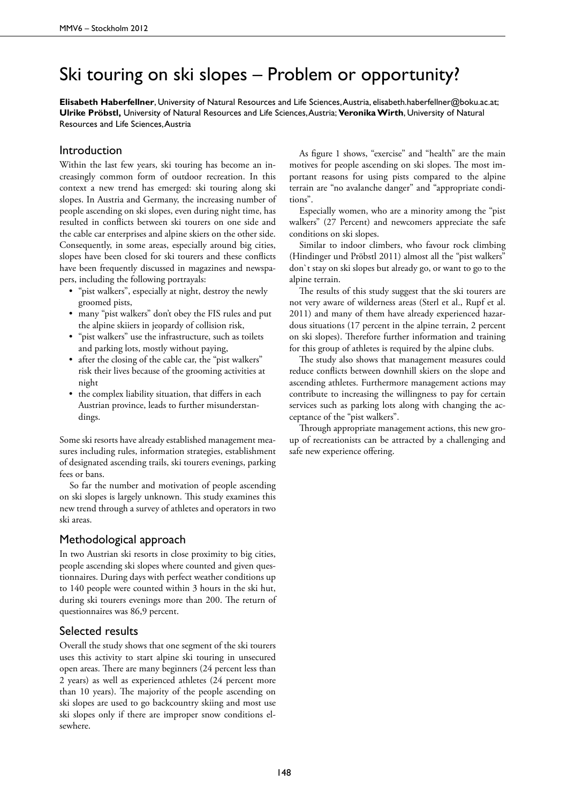## Ski touring on ski slopes – Problem or opportunity?

**Elisabeth Haberfellner**, University of Natural Resources and Life Sciences, Austria, elisabeth.haberfellner@boku.ac.at; **Ulrike Pröbstl,** University of Natural Resources and Life Sciences, Austria; **Veronika Wirth**, University of Natural Resources and Life Sciences, Austria

## Introduction

Within the last few years, ski touring has become an increasingly common form of outdoor recreation. In this context a new trend has emerged: ski touring along ski slopes. In Austria and Germany, the increasing number of people ascending on ski slopes, even during night time, has resulted in conflicts between ski tourers on one side and the cable car enterprises and alpine skiers on the other side. Consequently, in some areas, especially around big cities, slopes have been closed for ski tourers and these conflicts have been frequently discussed in magazines and newspapers, including the following portrayals:

- "pist walkers", especially at night, destroy the newly groomed pists,
- • many "pist walkers" don't obey the FIS rules and put the alpine skiiers in jeopardy of collision risk,
- "pist walkers" use the infrastructure, such as toilets and parking lots, mostly without paying,
- after the closing of the cable car, the "pist walkers" risk their lives because of the grooming activities at night
- the complex liability situation, that differs in each Austrian province, leads to further misunderstandings.

Some ski resorts have already established management measures including rules, information strategies, establishment of designated ascending trails, ski tourers evenings, parking fees or bans.

So far the number and motivation of people ascending on ski slopes is largely unknown. This study examines this new trend through a survey of athletes and operators in two ski areas.

## Methodological approach

In two Austrian ski resorts in close proximity to big cities, people ascending ski slopes where counted and given questionnaires. During days with perfect weather conditions up to 140 people were counted within 3 hours in the ski hut, during ski tourers evenings more than 200. The return of questionnaires was 86,9 percent.

## Selected results

Overall the study shows that one segment of the ski tourers uses this activity to start alpine ski touring in unsecured open areas. There are many beginners (24 percent less than 2 years) as well as experienced athletes (24 percent more than 10 years). The majority of the people ascending on ski slopes are used to go backcountry skiing and most use ski slopes only if there are improper snow conditions elsewhere.

As figure 1 shows, "exercise" and "health" are the main motives for people ascending on ski slopes. The most important reasons for using pists compared to the alpine terrain are "no avalanche danger" and "appropriate conditions".

Especially women, who are a minority among the "pist walkers" (27 Percent) and newcomers appreciate the safe conditions on ski slopes.

Similar to indoor climbers, who favour rock climbing (Hindinger und Pröbstl 2011) almost all the "pist walkers" don`t stay on ski slopes but already go, or want to go to the alpine terrain.

The results of this study suggest that the ski tourers are not very aware of wilderness areas (Sterl et al., Rupf et al. 2011) and many of them have already experienced hazardous situations (17 percent in the alpine terrain, 2 percent on ski slopes). Therefore further information and training for this group of athletes is required by the alpine clubs.

The study also shows that management measures could reduce conflicts between downhill skiers on the slope and ascending athletes. Furthermore management actions may contribute to increasing the willingness to pay for certain services such as parking lots along with changing the acceptance of the "pist walkers".

Through appropriate management actions, this new group of recreationists can be attracted by a challenging and safe new experience offering.